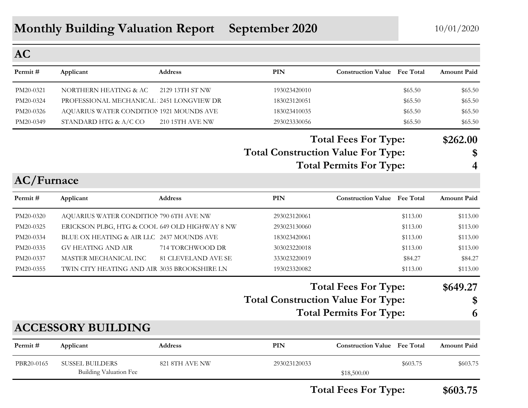#### **AC**

| Permit #  | Applicant                                | <b>Address</b>  | PIN          | <b>Construction Value</b> Fee Total |         | <b>Amount Paid</b> |
|-----------|------------------------------------------|-----------------|--------------|-------------------------------------|---------|--------------------|
| PM20-0321 | NORTHERN HEATING & AC                    | 2129 13TH ST NW | 193023420010 |                                     | \$65.50 | \$65.50            |
| PM20-0324 | PROFESSIONAL MECHANICAL 2451 LONGVIEW DR |                 | 183023120051 |                                     | \$65.50 | \$65.50            |
| PM20-0326 | AQUARIUS WATER CONDITION 1921 MOUNDS AVE |                 | 183023410035 |                                     | \$65.50 | \$65.50            |
| PM20-0349 | STANDARD HTG & A/C CO                    | 210 15TH AVE NW | 293023330056 |                                     | \$65.50 | \$65.50            |

**Total Construction Value For Type: \$ Total Fees For Type: \$262.00**

**Total Permits For Type: 4**

| <b>AC/Furnace</b> |                                                |                            |                                           |                                |                  |                    |
|-------------------|------------------------------------------------|----------------------------|-------------------------------------------|--------------------------------|------------------|--------------------|
| Permit #          | Applicant                                      | Address                    | PIN                                       | <b>Construction Value</b>      | <b>Fee Total</b> | <b>Amount Paid</b> |
| PM20-0320         | AQUARIUS WATER CONDITION 790 6TH AVE NW        |                            | 293023120061                              |                                | \$113.00         | \$113.00           |
| PM20-0325         | ERICKSON PLBG, HTG & COOL 649 OLD HIGHWAY 8 NW |                            | 293023130060                              |                                | \$113.00         | \$113.00           |
| PM20-0334         | BLUE OX HEATING & AIR LLC 2437 MOUNDS AVE      |                            | 183023420061                              |                                | \$113.00         | \$113.00           |
| PM20-0335         | <b>GV HEATING AND AIR</b>                      | 714 TORCHWOOD DR           | 303023220018                              |                                | \$113.00         | \$113.00           |
| PM20-0337         | MASTER MECHANICAL INC                          | <b>81 CLEVELAND AVE SE</b> | 333023220019                              |                                | \$84.27          | \$84.27            |
| PM20-0355         | TWIN CITY HEATING AND AIR 3035 BROOKSHIRE LN   |                            | 193023320082                              |                                | \$113.00         | \$113.00           |
|                   |                                                |                            | <b>Total Fees For Type:</b>               |                                |                  | \$649.27           |
|                   |                                                |                            | <b>Total Construction Value For Type:</b> |                                |                  | \$                 |
|                   |                                                |                            |                                           | <b>Total Permits For Type:</b> |                  | 6                  |
|                   | <b>ACCESSORY BUILDING</b>                      |                            |                                           |                                |                  |                    |
| Permit #          | Applicant                                      | <b>Address</b>             | PIN                                       | <b>Construction Value</b>      | <b>Fee Total</b> | <b>Amount Paid</b> |
| PBR20-0165        | <b>SUSSEL BUILDERS</b>                         | 821 8TH AVE NW             | 293023120033                              |                                | \$603.75         | \$603.75           |
|                   | Building Valuation Fee                         |                            |                                           | \$18,500.00                    |                  |                    |
|                   |                                                |                            |                                           | <b>Total Fees For Type:</b>    |                  | \$603.75           |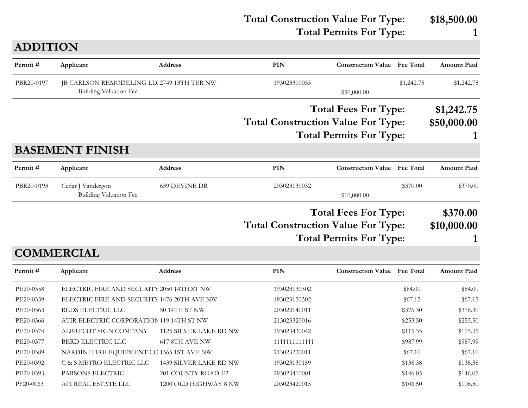**Total Construction Value For Type: \$18,500.00 Total Permits For Type: 1 PIN Construction Value Permit # Applicant Address Fee Total Amount Paid ADDITION** PBR20-0197 JB CARLSON REMODELING LLC 2749 13TH TER NW 193023310035 \$1,242.75 \$1,242.75 \$1,242.75 Building Valuation Fee  $$50,000,00$ **Total Construction Value For Type: \$50,000.00 Total Fees For Type: \$1,242.75 Total Permits For Type: 1 PIN Construction Value Permit # Applicant Address Fee Total Amount Paid BASEMENT FINISH** PBR20-0193 Cedar J Vandergon 639 DEVINE DR 203023130032 \$370.00 \$370.00 \$370.00 Building Valuation Fee  $$10,000.00$ **Total Construction Value For Type: \$10,000.00 Total Fees For Type: \$370.00 Total Permits For Type: 1 PIN Construction Value Permit # Applicant Address Fee Total Amount Paid COMMERCIAL** PE20-0358 ELECTRIC FIRE AND SECURITY 2050 14TH ST NW 193023130302 \$84.00 \$84.00 \$84.00 PE20-0359 ELECTRIC FIRE AND SECURITY 1476 20TH AVE NW 193023130302 \$67.15 \$67.15 \$67.15 PE20-0363 REDS ELECTRIC LLC 50 14TH ST NW 203023140011 \$376.30 \$376.30 \$376.30 PE20-0366 ATIR ELECTRIC CORPORATION 119 14TH ST NW 213023320016 \$253.50 \$253.50 \$253.50 \$253.50 PE20-0374 ALBRECHT SIGN COMPANY 1125 SILVER LAKE RD NW 193023430042 \$115.35 \$115.35 PE20-0377 BERD ELECTRIC LLC 617 8TH AVE NW 1111111111111 \$987.99 \$987.99 PE20-0389 NARDINI FIRE EQUIPMENT CC 1565 1ST AVE NW 213023230011 \$67.10 \$67.10 \$67.10

PE20-0392 C & S METRO ELECTRIC LLC 1439 SILVER LAKE RD NW 193023130159 \$138.38 \$138.38 \$138.38 PE20-0393 PARSONS ELECTRIC 201 COUNTY ROAD E2 293023410001 \$146.05 \$146.05 \$146.05 PF20-0063 API REAL ESTATE LLC 1200 OLD HIGHWAY 8 NW 203023420015 \$106.50 \$106.50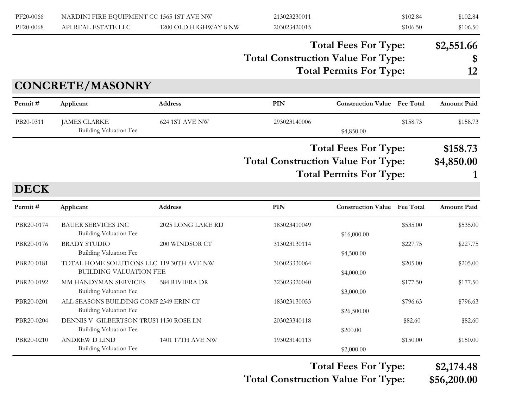| PF20-0066<br>PF20-0068 | NARDINI FIRE EQUIPMENT CC 1565 1ST AVE NW<br>API REAL ESTATE LLC          | 1200 OLD HIGHWAY 8 NW | 213023230011<br>203023420015                                                                               |                                                               | \$102.84<br>\$106.50 | \$102.84<br>\$106.50        |
|------------------------|---------------------------------------------------------------------------|-----------------------|------------------------------------------------------------------------------------------------------------|---------------------------------------------------------------|----------------------|-----------------------------|
|                        |                                                                           |                       | <b>Total Construction Value For Type:</b>                                                                  | <b>Total Fees For Type:</b><br><b>Total Permits For Type:</b> |                      | \$2,551.66<br>\$<br>12      |
|                        | <b>CONCRETE/MASONRY</b>                                                   |                       |                                                                                                            |                                                               |                      |                             |
| Permit#                | Applicant                                                                 | <b>Address</b>        | PIN                                                                                                        | <b>Construction Value Fee Total</b>                           |                      | <b>Amount Paid</b>          |
| PB20-0311              | <b>JAMES CLARKE</b><br><b>Building Valuation Fee</b>                      | 624 1ST AVE NW        | 293023140006                                                                                               | \$4,850.00                                                    | \$158.73             | \$158.73                    |
|                        |                                                                           |                       | <b>Total Fees For Type:</b><br><b>Total Construction Value For Type:</b><br><b>Total Permits For Type:</b> |                                                               |                      | \$158.73<br>\$4,850.00<br>1 |
| <b>DECK</b>            |                                                                           |                       |                                                                                                            |                                                               |                      |                             |
| Permit#                | Applicant                                                                 | <b>Address</b>        | PIN                                                                                                        | <b>Construction Value</b> Fee Total                           |                      | <b>Amount Paid</b>          |
| PBR20-0174             | <b>BAUER SERVICES INC</b><br><b>Building Valuation Fee</b>                | 2025 LONG LAKE RD     | 183023410049                                                                                               | \$16,000.00                                                   | \$535.00             | \$535.00                    |
| PBR20-0176             | <b>BRADY STUDIO</b><br><b>Building Valuation Fee</b>                      | 200 WINDSOR CT        | 313023130114                                                                                               | \$4,500.00                                                    | \$227.75             | \$227.75                    |
| PBR20-0181             | TOTAL HOME SOLUTIONS LLC 119 30TH AVE NW<br><b>BUILDING VALUATION FEE</b> |                       | 303023330064                                                                                               | \$4,000.00                                                    | \$205.00             | \$205.00                    |
| PBR20-0192             | MM HANDYMAN SERVICES<br><b>Building Valuation Fee</b>                     | <b>584 RIVIERA DR</b> | 323023320040                                                                                               | \$3,000.00                                                    | \$177.50             | \$177.50                    |
| PBR20-0201             | ALL SEASONS BUILDING COMF 2349 ERIN CT<br><b>Building Valuation Fee</b>   |                       | 183023130053                                                                                               | \$26,500.00                                                   | \$796.63             | \$796.63                    |
| PBR20-0204             | DENNIS V GILBERTSON TRUS'I 1150 ROSE LN<br><b>Building Valuation Fee</b>  |                       | 203023340118                                                                                               | \$200.00                                                      | \$82.60              | \$82.60                     |
| PBR20-0210             | <b>ANDREW D LIND</b><br>Building Valuation Fee                            | 1401 17TH AVE NW      | 193023140113                                                                                               | \$2,000.00                                                    | \$150.00             | \$150.00                    |

**Total Construction Value For Type: \$56,200.00 Total Fees For Type: \$2,174.48**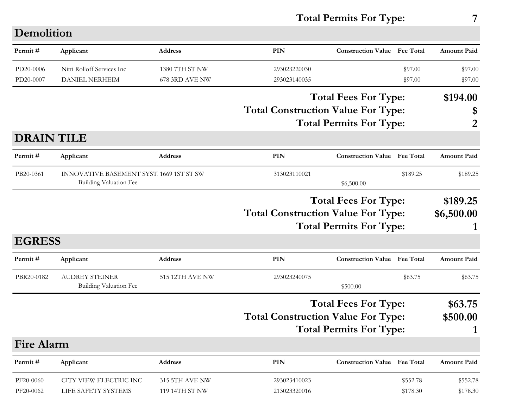#### **Total Permits For Type: 7**

| Demolition        |                                                                                 |                       |                                           |                                     |          |                    |
|-------------------|---------------------------------------------------------------------------------|-----------------------|-------------------------------------------|-------------------------------------|----------|--------------------|
| Permit#           | Applicant                                                                       | <b>Address</b>        | <b>PIN</b>                                | <b>Construction Value</b> Fee Total |          | <b>Amount Paid</b> |
| PD20-0006         | Nitti Rolloff Services Inc                                                      | 1380 7TH ST NW        | 293023220030                              |                                     | \$97.00  | \$97.00            |
| PD20-0007         | <b>DANIEL NERHEIM</b>                                                           | 678 3RD AVE NW        | 293023140035                              |                                     | \$97.00  | \$97.00            |
|                   |                                                                                 |                       |                                           | <b>Total Fees For Type:</b>         |          | \$194.00           |
|                   |                                                                                 |                       | <b>Total Construction Value For Type:</b> |                                     |          | \$                 |
|                   |                                                                                 |                       | <b>Total Permits For Type:</b>            | 2                                   |          |                    |
| <b>DRAIN TILE</b> |                                                                                 |                       |                                           |                                     |          |                    |
| Permit#           | Applicant                                                                       | <b>Address</b>        | <b>PIN</b>                                | <b>Construction Value</b> Fee Total |          | <b>Amount Paid</b> |
| PB20-0361         | <b>INNOVATIVE BASEMENT SYST 1669 1ST ST SW</b><br><b>Building Valuation Fee</b> |                       | 313023110021                              | \$6,500.00                          | \$189.25 | \$189.25           |
|                   |                                                                                 |                       |                                           | <b>Total Fees For Type:</b>         |          | \$189.25           |
|                   |                                                                                 |                       | <b>Total Construction Value For Type:</b> |                                     |          | \$6,500.00         |
|                   |                                                                                 |                       |                                           | <b>Total Permits For Type:</b>      |          |                    |
| <b>EGRESS</b>     |                                                                                 |                       |                                           |                                     |          |                    |
| Permit#           | Applicant                                                                       | Address               | <b>PIN</b>                                | <b>Construction Value</b> Fee Total |          | <b>Amount Paid</b> |
| PBR20-0182        | <b>AUDREY STEINER</b>                                                           | 515 12TH AVE NW       | 293023240075                              |                                     | \$63.75  | \$63.75            |
|                   | <b>Building Valuation Fee</b>                                                   |                       |                                           | \$500.00                            |          |                    |
|                   |                                                                                 |                       |                                           | <b>Total Fees For Type:</b>         |          | \$63.75            |
|                   |                                                                                 |                       | <b>Total Construction Value For Type:</b> |                                     |          | \$500.00           |
|                   |                                                                                 |                       |                                           | <b>Total Permits For Type:</b>      |          | $\mathbf 1$        |
| <b>Fire Alarm</b> |                                                                                 |                       |                                           |                                     |          |                    |
| Permit#           | Applicant                                                                       | Address               | PIN                                       | <b>Construction Value Fee Total</b> |          | <b>Amount Paid</b> |
| PF20-0060         | CITY VIEW ELECTRIC INC                                                          | <b>315 5TH AVE NW</b> | 293023410023                              |                                     | \$552.78 | \$552.78           |
| PF20-0062         | LIFE SAFETY SYSTEMS                                                             | 119 14TH ST NW        | 213023320016                              |                                     | \$178.30 | \$178.30           |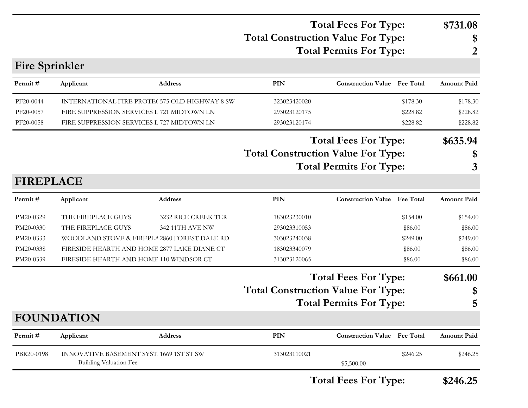#### **Total Construction Value For Type: \$ Total Fees For Type: \$731.08 Total Permits For Type: 2**

#### **Fire Sprinkler**

| Permit#          | Applicant                                                                       | Address             | <b>PIN</b>                                | <b>Construction Value Fee Total</b> |          | <b>Amount Paid</b> |
|------------------|---------------------------------------------------------------------------------|---------------------|-------------------------------------------|-------------------------------------|----------|--------------------|
| PF20-0044        | INTERNATIONAL FIRE PROTE( 575 OLD HIGHWAY 8 SW                                  |                     | 323023420020                              |                                     | \$178.30 | \$178.30           |
| PF20-0057        | FIRE SUPPRESSION SERVICES L 721 MIDTOWN LN                                      |                     | 293023120175                              |                                     | \$228.82 | \$228.82           |
| PF20-0058        | FIRE SUPPRESSION SERVICES L 727 MIDTOWN LN                                      |                     | 293023120174                              |                                     | \$228.82 | \$228.82           |
|                  |                                                                                 |                     | <b>Total Construction Value For Type:</b> | <b>Total Fees For Type:</b>         |          | \$635.94<br>\$     |
|                  |                                                                                 |                     |                                           | <b>Total Permits For Type:</b>      |          | 3                  |
| <b>FIREPLACE</b> |                                                                                 |                     |                                           |                                     |          |                    |
| Permit#          | Applicant                                                                       | <b>Address</b>      | PIN                                       | <b>Construction Value</b> Fee Total |          | <b>Amount Paid</b> |
| PM20-0329        | THE FIREPLACE GUYS                                                              | 3232 RICE CREEK TER | 183023230010                              |                                     | \$154.00 | \$154.00           |
| PM20-0330        | THE FIREPLACE GUYS                                                              | 342 11TH AVE NW     | 293023310053                              |                                     | \$86.00  | \$86.00            |
| PM20-0333        | WOODLAND STOVE & FIREPLA 2860 FOREST DALE RD                                    |                     | 303023240038                              |                                     | \$249.00 | \$249.00           |
| PM20-0338        | FIRESIDE HEARTH AND HOME 2877 LAKE DIANE CT                                     |                     | 183023340079                              |                                     | \$86.00  | \$86.00            |
| PM20-0339        | FIRESIDE HEARTH AND HOME 110 WINDSOR CT                                         |                     | 313023120065                              |                                     | \$86.00  | \$86.00            |
|                  |                                                                                 |                     |                                           | <b>Total Fees For Type:</b>         |          | \$661.00           |
|                  |                                                                                 |                     | <b>Total Construction Value For Type:</b> |                                     |          | \$                 |
|                  |                                                                                 |                     |                                           | <b>Total Permits For Type:</b>      |          | 5                  |
|                  | <b>FOUNDATION</b>                                                               |                     |                                           |                                     |          |                    |
| Permit#          | Applicant                                                                       | Address             | <b>PIN</b>                                | <b>Construction Value Fee Total</b> |          | <b>Amount Paid</b> |
| PBR20-0198       | <b>INNOVATIVE BASEMENT SYST 1669 1ST ST SW</b><br><b>Building Valuation Fee</b> |                     | 313023110021                              | \$5,500.00                          | \$246.25 | \$246.25           |

**Total Fees For Type: \$246.25**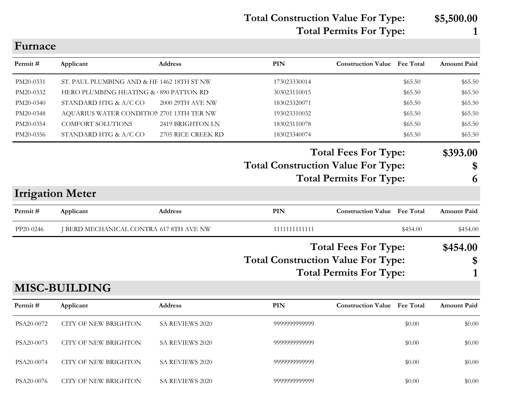**Total Construction Value For Type: \$5,500.00 Total Permits For Type: 1**

| r umace   |                                            |                    |                                                                                                            |                                     |          |                     |
|-----------|--------------------------------------------|--------------------|------------------------------------------------------------------------------------------------------------|-------------------------------------|----------|---------------------|
| Permit#   | Applicant                                  | <b>Address</b>     | PIN                                                                                                        | <b>Construction Value</b> Fee Total |          | <b>Amount Paid</b>  |
| PM20-0331 | ST. PAUL PLUMBING AND & HE 1462 18TH ST NW |                    | 173023330014                                                                                               |                                     | \$65.50  | \$65.50             |
| PM20-0332 | HERO PLUMBING HEATING & 890 PATTON RD      |                    | 303023110015                                                                                               |                                     | \$65.50  | \$65.50             |
| PM20-0340 | STANDARD HTG & A/C CO                      | 2000 29TH AVE NW   | 183023320071                                                                                               |                                     | \$65.50  | \$65.50             |
| PM20-0348 | AQUARIUS WATER CONDITION 2701 13TH TER NW  |                    | 193023310032                                                                                               |                                     | \$65.50  | \$65.50             |
| PM20-0354 | <b>COMFORT SOLUTIONS</b>                   | 2419 BRIGHTON LN   | 183023110078                                                                                               |                                     | \$65.50  | \$65.50             |
| PM20-0356 | STANDARD HTG & A/C CO                      | 2705 RICE CREEK RD | 183023340074                                                                                               |                                     | \$65.50  | \$65.50             |
|           |                                            |                    | <b>Total Fees For Type:</b><br><b>Total Construction Value For Type:</b><br><b>Total Permits For Type:</b> |                                     |          | \$393.00<br>\$<br>6 |
|           | <b>Irrigation Meter</b>                    |                    |                                                                                                            |                                     |          |                     |
| Permit #  | Applicant                                  | Address            | PIN                                                                                                        | <b>Construction Value</b> Fee Total |          | <b>Amount Paid</b>  |
| PP20-0246 | J BERD MECHANICAL CONTRA 617 8TH AVE NW    |                    | 1111111111111                                                                                              |                                     | \$454.00 | \$454.00            |
|           |                                            |                    | <b>Total Fees For Type:</b>                                                                                |                                     |          | \$454.00            |
|           |                                            |                    |                                                                                                            |                                     |          | \$                  |
|           |                                            |                    | <b>Total Construction Value For Type:</b><br><b>Total Permits For Type:</b>                                |                                     |          |                     |
|           |                                            |                    |                                                                                                            |                                     |          |                     |

#### **MISC-BUILDING**

 $\Gamma$ <sub>re</sub>

| Permit#    | Applicant            | Address                | <b>PIN</b>    | <b>Construction Value</b> Fee Total |        | <b>Amount Paid</b> |
|------------|----------------------|------------------------|---------------|-------------------------------------|--------|--------------------|
| PSA20-0072 | CITY OF NEW BRIGHTON | SA REVIEWS 2020        | 9999999999999 |                                     | \$0.00 | \$0.00             |
| PSA20-0073 | CITY OF NEW BRIGHTON | SA REVIEWS 2020        | 9999999999999 |                                     | \$0.00 | \$0.00             |
| PSA20-0074 | CITY OF NEW BRIGHTON | SA REVIEWS 2020        | 9999999999999 |                                     | \$0.00 | \$0.00             |
| PSA20-0076 | CITY OF NEW BRIGHTON | <b>SA REVIEWS 2020</b> | 9999999999999 |                                     | \$0.00 | \$0.00             |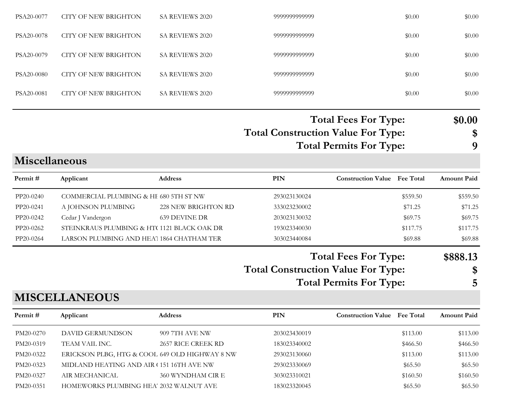| PSA20-0077 | CITY OF NEW BRIGHTON | <b>SA REVIEWS 2020</b> | 9999999999999 | \$0.00 | \$0.00 |
|------------|----------------------|------------------------|---------------|--------|--------|
| PSA20-0078 | CITY OF NEW BRIGHTON | SA REVIEWS 2020        | 9999999999999 | \$0.00 | \$0.00 |
| PSA20-0079 | CITY OF NEW BRIGHTON | <b>SA REVIEWS 2020</b> | 9999999999999 | \$0.00 | \$0.00 |
| PSA20-0080 | CITY OF NEW BRIGHTON | SA REVIEWS 2020        | 9999999999999 | \$0.00 | \$0.00 |
| PSA20-0081 | CITY OF NEW BRIGHTON | <b>SA REVIEWS 2020</b> | 9999999999999 | \$0.00 | \$0.00 |
|            |                      |                        |               |        |        |

**Total Construction Value For Type: \$ Total Fees For Type: \$0.00 Total Permits For Type: 9**

**Miscellaneous**

| Permit#   | Applicant                                  | <b>Address</b>      | PIN          | <b>Construction Value</b> Fee Total |          | <b>Amount Paid</b> |
|-----------|--------------------------------------------|---------------------|--------------|-------------------------------------|----------|--------------------|
| PP20-0240 | COMMERCIAL PLUMBING & HE 680 5TH ST NW     |                     | 293023130024 |                                     | \$559.50 | \$559.50           |
| PP20-0241 | A JOHNSON PLUMBING                         | 228 NEW BRIGHTON RD | 333023230002 |                                     | \$71.25  | \$71.25            |
| PP20-0242 | Cedar J Vandergon                          | 639 DEVINE DR       | 203023130032 |                                     | \$69.75  | \$69.75            |
| PP20-0262 | STEINKRAUS PLUMBING & HT(1121 BLACK OAK DR |                     | 193023340030 |                                     | \$117.75 | \$117.75           |
| PP20-0264 | LARSON PLUMBING AND HEA' 1864 CHATHAM TER  |                     | 303023440084 |                                     | \$69.88  | \$69.88            |

**Total Construction Value For Type: \$ Total Fees For Type: \$888.13**

**Total Permits For Type: 5**

#### **MISCELLANEOUS**

| Permit #  | Applicant                                      | <b>Address</b>     | PIN          | <b>Construction Value</b> Fee Total |          | <b>Amount Paid</b> |
|-----------|------------------------------------------------|--------------------|--------------|-------------------------------------|----------|--------------------|
| PM20-0270 | DAVID GERMUNDSON                               | 909 7TH AVE NW     | 203023430019 |                                     | \$113.00 | \$113.00           |
| PM20-0319 | TEAM VAIL INC.                                 | 2657 RICE CREEK RD | 183023340002 |                                     | \$466.50 | \$466.50           |
| PM20-0322 | ERICKSON PLBG, HTG & COOL 649 OLD HIGHWAY 8 NW |                    | 293023130060 |                                     | \$113.00 | \$113.00           |
| PM20-0323 | MIDLAND HEATING AND AIR (151 16TH AVE NW       |                    | 293023330069 |                                     | \$65.50  | \$65.50            |
| PM20-0327 | AIR MECHANICAL                                 | 360 WYNDHAM CIR E  | 303023310021 |                                     | \$160.50 | \$160.50           |
| PM20-0351 | HOMEWORKS PLUMBING HEA' 2032 WALNUT AVE        |                    | 183023320045 |                                     | \$65.50  | \$65.50            |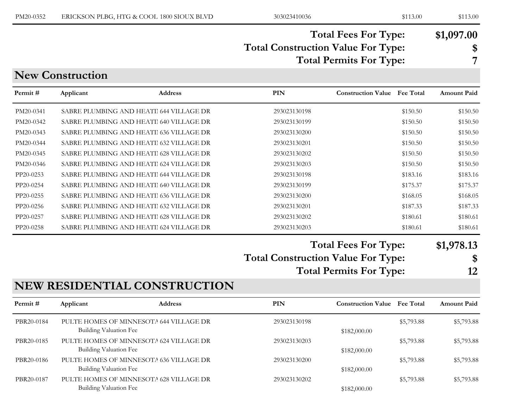#### **Total Construction Value For Type: \$ Total Fees For Type: \$1,097.00 Total Permits For Type: 7**

#### **New Construction**

| Permit #  | Applicant | <b>Address</b>                          | <b>PIN</b>   | <b>Fee Total</b><br><b>Construction Value</b> | <b>Amount Paid</b> |
|-----------|-----------|-----------------------------------------|--------------|-----------------------------------------------|--------------------|
| PM20-0341 |           | SABRE PLUMBING AND HEATI 644 VILLAGE DR | 293023130198 | \$150.50                                      | \$150.50           |
| PM20-0342 |           | SABRE PLUMBING AND HEATI 640 VILLAGE DR | 293023130199 | \$150.50                                      | \$150.50           |
| PM20-0343 |           | SABRE PLUMBING AND HEATI 636 VILLAGE DR | 293023130200 | \$150.50                                      | \$150.50           |
| PM20-0344 |           | SABRE PLUMBING AND HEATI 632 VILLAGE DR | 293023130201 | \$150.50                                      | \$150.50           |
| PM20-0345 |           | SABRE PLUMBING AND HEATH 628 VILLAGE DR | 293023130202 | \$150.50                                      | \$150.50           |
| PM20-0346 |           | SABRE PLUMBING AND HEATI 624 VILLAGE DR | 293023130203 | \$150.50                                      | \$150.50           |
| PP20-0253 |           | SABRE PLUMBING AND HEATI 644 VILLAGE DR | 293023130198 | \$183.16                                      | \$183.16           |
| PP20-0254 |           | SABRE PLUMBING AND HEATI 640 VILLAGE DR | 293023130199 | \$175.37                                      | \$175.37           |
| PP20-0255 |           | SABRE PLUMBING AND HEATI 636 VILLAGE DR | 293023130200 | \$168.05                                      | \$168.05           |
| PP20-0256 |           | SABRE PLUMBING AND HEATI 632 VILLAGE DR | 293023130201 | \$187.33                                      | \$187.33           |
| PP20-0257 |           | SABRE PLUMBING AND HEATI 628 VILLAGE DR | 293023130202 | \$180.61                                      | \$180.61           |
| PP20-0258 |           | SABRE PLUMBING AND HEATI 624 VILLAGE DR | 293023130203 | \$180.61                                      | \$180.61           |
|           |           |                                         | --           |                                               |                    |

#### **Total Fees For Type: \$1,978.13**

**Total Construction Value For Type: \$**

**Total Permits For Type: 12**

#### **NEW RESIDENTIAL CONSTRUCTION**

| Permit#    | Applicant                                                         | <b>Address</b> | PIN          | <b>Construction Value</b> | <b>Fee Total</b> | <b>Amount Paid</b> |
|------------|-------------------------------------------------------------------|----------------|--------------|---------------------------|------------------|--------------------|
| PBR20-0184 | PULTE HOMES OF MINNESOTA 644 VILLAGE DR<br>Building Valuation Fee |                | 293023130198 | \$182,000.00              | \$5,793.88       | \$5,793.88         |
| PBR20-0185 | PULTE HOMES OF MINNESOTA 624 VILLAGE DR<br>Building Valuation Fee |                | 293023130203 | \$182,000.00              | \$5,793.88       | \$5,793.88         |
| PBR20-0186 | PULTE HOMES OF MINNESOTA 636 VILLAGE DR<br>Building Valuation Fee |                | 293023130200 | \$182,000.00              | \$5,793.88       | \$5,793.88         |
| PBR20-0187 | PULTE HOMES OF MINNESOTA 628 VILLAGE DR<br>Building Valuation Fee |                | 293023130202 | \$182,000.00              | \$5,793.88       | \$5,793.88         |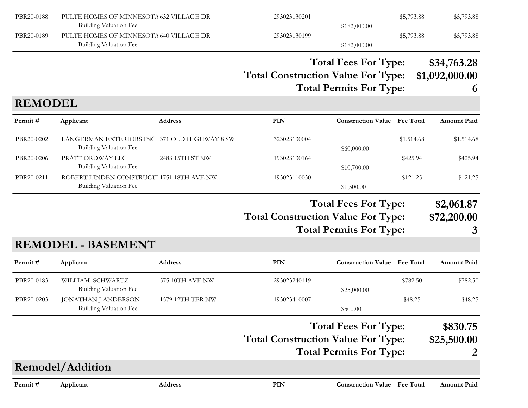| PBR20-0188     | PULTE HOMES OF MINNESOTA 632 VILLAGE DR<br><b>Building Valuation Fee</b>      |                  | 293023130201                              | \$182,000.00                                                  | \$5,793.88       | \$5,793.88                         |
|----------------|-------------------------------------------------------------------------------|------------------|-------------------------------------------|---------------------------------------------------------------|------------------|------------------------------------|
| PBR20-0189     | PULTE HOMES OF MINNESOTA 640 VILLAGE DR<br>Building Valuation Fee             |                  | 293023130199                              | \$182,000.00                                                  | \$5,793.88       | \$5,793.88                         |
|                |                                                                               |                  | <b>Total Construction Value For Type:</b> | <b>Total Fees For Type:</b><br><b>Total Permits For Type:</b> |                  | \$34,763.28<br>\$1,092,000.00<br>6 |
| <b>REMODEL</b> |                                                                               |                  |                                           |                                                               |                  |                                    |
| Permit#        | Applicant                                                                     | <b>Address</b>   | <b>PIN</b>                                | <b>Construction Value</b> Fee Total                           |                  | <b>Amount Paid</b>                 |
| PBR20-0202     | LANGERMAN EXTERIORS INC 371 OLD HIGHWAY 8 SW<br><b>Building Valuation Fee</b> |                  | 323023130004                              | \$60,000.00                                                   | \$1,514.68       | \$1,514.68                         |
| PBR20-0206     | PRATT ORDWAY LLC<br>Building Valuation Fee                                    | 2483 15TH ST NW  | 193023130164                              | \$10,700.00                                                   | \$425.94         | \$425.94                           |
| PBR20-0211     | ROBERT LINDEN CONSTRUCTI 1751 18TH AVE NW<br><b>Building Valuation Fee</b>    |                  | 193023110030                              | \$1,500.00                                                    | \$121.25         | \$121.25                           |
|                |                                                                               |                  |                                           | <b>Total Fees For Type:</b>                                   |                  | \$2,061.87                         |
|                |                                                                               |                  | <b>Total Construction Value For Type:</b> | <b>Total Permits For Type:</b>                                |                  | \$72,200.00<br>3                   |
|                | <b>REMODEL - BASEMENT</b>                                                     |                  |                                           |                                                               |                  |                                    |
| Permit#        | Applicant                                                                     | <b>Address</b>   | <b>PIN</b>                                | <b>Construction Value</b>                                     | <b>Fee Total</b> | <b>Amount Paid</b>                 |
| PBR20-0183     | WILLIAM SCHWARTZ<br><b>Building Valuation Fee</b>                             | 575 10TH AVE NW  | 293023240119                              | \$25,000.00                                                   | \$782.50         | \$782.50                           |
| PBR20-0203     | <b>JONATHAN J ANDERSON</b><br><b>Building Valuation Fee</b>                   | 1579 12TH TER NW | 193023410007                              | \$500.00                                                      | \$48.25          | \$48.25                            |
|                |                                                                               |                  |                                           | <b>Total Fees For Type:</b>                                   |                  | \$830.75                           |
|                |                                                                               |                  | <b>Total Construction Value For Type:</b> |                                                               |                  | \$25,500.00                        |
|                |                                                                               |                  |                                           | <b>Total Permits For Type:</b>                                |                  | 2                                  |
|                | Remodel/Addition                                                              |                  |                                           |                                                               |                  |                                    |
| Permit#        | Applicant                                                                     | <b>Address</b>   | PIN                                       | <b>Construction Value Fee Total</b>                           |                  | <b>Amount Paid</b>                 |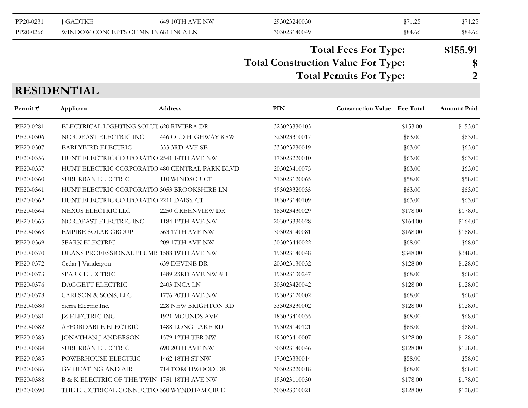|--|

#### **Total Construction Value For Type: \$ Total Fees For Type: \$155.91**

#### **Total Permits For Type: 2**

#### **RESIDENTIAL**

| Permit#   | Applicant                                      | <b>Address</b>          | <b>PIN</b>   | <b>Construction Value Fee Total</b> |          | Amount Paid |
|-----------|------------------------------------------------|-------------------------|--------------|-------------------------------------|----------|-------------|
| PE20-0281 | ELECTRICAL LIGHTING SOLUT 620 RIVIERA DR       |                         | 323023330103 |                                     | \$153.00 | \$153.00    |
| PE20-0306 | NORDEAST ELECTRIC INC                          | 446 OLD HIGHWAY 8 SW    | 323023310017 |                                     | \$63.00  | \$63.00     |
| PE20-0307 | EARLYBIRD ELECTRIC                             | 333 3RD AVE SE          | 333023230019 |                                     | \$63.00  | \$63.00     |
| PE20-0356 | HUNT ELECTRIC CORPORATIO 2541 14TH AVE NW      |                         | 173023220010 |                                     | \$63.00  | \$63.00     |
| PE20-0357 | HUNT ELECTRIC CORPORATIO 480 CENTRAL PARK BLVD |                         | 203023410075 |                                     | \$63.00  | \$63.00     |
| PE20-0360 | SUBURBAN ELECTRIC                              | 110 WINDSOR CT          | 313023120065 |                                     | \$58.00  | \$58.00     |
| PE20-0361 | HUNT ELECTRIC CORPORATIO 3053 BROOKSHIRE LN    |                         | 193023320035 |                                     | \$63.00  | \$63.00     |
| PE20-0362 | HUNT ELECTRIC CORPORATIO 2211 DAISY CT         |                         | 183023140109 |                                     | \$63.00  | \$63.00     |
| PE20-0364 | NEXUS ELECTRIC LLC                             | 2250 GREENVIEW DR       | 183023430029 |                                     | \$178.00 | \$178.00    |
| PE20-0365 | NORDEAST ELECTRIC INC                          | <b>1184 12TH AVE NW</b> | 203023330028 |                                     | \$164.00 | \$164.00    |
| PE20-0368 | <b>EMPIRE SOLAR GROUP</b>                      | 563 17TH AVE NW         | 303023140081 |                                     | \$168.00 | \$168.00    |
| PE20-0369 | <b>SPARK ELECTRIC</b>                          | <b>209 17TH AVE NW</b>  | 303023440022 |                                     | \$68.00  | \$68.00     |
| PE20-0370 | DEANS PROFESSIONAL PLUMB 1588 19TH AVE NW      |                         | 193023140048 |                                     | \$348.00 | \$348.00    |
| PE20-0372 | Cedar J Vandergon                              | <b>639 DEVINE DR</b>    | 203023130032 |                                     | \$128.00 | \$128.00    |
| PE20-0373 | <b>SPARK ELECTRIC</b>                          | 1489 23RD AVE NW #1     | 193023130247 |                                     | \$68.00  | \$68.00     |
| PE20-0376 | DAGGETT ELECTRIC                               | 2403 INCA LN            | 303023420042 |                                     | \$128.00 | \$128.00    |
| PE20-0378 | CARLSON & SONS, LLC                            | 1776 20TH AVE NW        | 193023120002 |                                     | \$68.00  | \$68.00     |
| PE20-0380 | Sierra Electric Inc.                           | 228 NEW BRIGHTON RD     | 333023230002 |                                     | \$128.00 | \$128.00    |
| PE20-0381 | JZ ELECTRIC INC                                | 1921 MOUNDS AVE         | 183023410035 |                                     | \$68.00  | \$68.00     |
| PE20-0382 | AFFORDABLE ELECTRIC                            | 1488 LONG LAKE RD       | 193023140121 |                                     | \$68.00  | \$68.00     |
| PE20-0383 | <b>JONATHAN J ANDERSON</b>                     | 1579 12TH TER NW        | 193023410007 |                                     | \$128.00 | \$128.00    |
| PE20-0384 | SUBURBAN ELECTRIC                              | 690 20TH AVE NW         | 303023140046 |                                     | \$128.00 | \$128.00    |
| PE20-0385 | POWERHOUSE ELECTRIC                            | 1462 18TH ST NW         | 173023330014 |                                     | \$58.00  | \$58.00     |
| PE20-0386 | <b>GV HEATING AND AIR</b>                      | 714 TORCHWOOD DR        | 303023220018 |                                     | \$68.00  | \$68.00     |
| PE20-0388 | B & K ELECTRIC OF THE TWIN 1751 18TH AVE NW    |                         | 193023110030 |                                     | \$178.00 | \$178.00    |
| PE20-0390 | THE ELECTRICAL CONNECTIO 360 WYNDHAM CIR E     |                         | 303023310021 |                                     | \$128.00 | \$128.00    |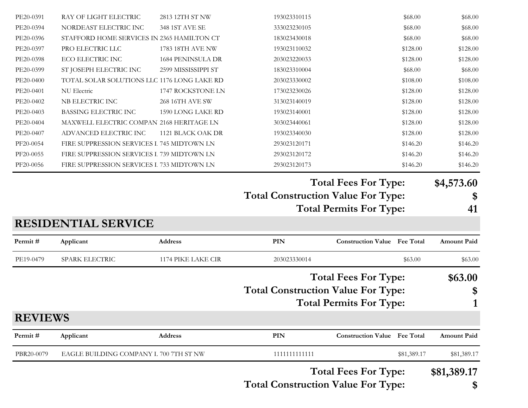|                        |                                                                       |                     |                              | <b>Total Fees For Type:</b>               | \$81,389.17          |
|------------------------|-----------------------------------------------------------------------|---------------------|------------------------------|-------------------------------------------|----------------------|
|                        |                                                                       |                     |                              |                                           |                      |
| PBR20-0079             | EAGLE BUILDING COMPANY L 700 7TH ST NW                                |                     | 1111111111111                | \$81,389.17                               | \$81,389.17          |
| Permit#                | Applicant                                                             | <b>Address</b>      | PIN                          | <b>Construction Value</b> Fee Total       | <b>Amount Paid</b>   |
| <b>REVIEWS</b>         |                                                                       |                     |                              |                                           |                      |
|                        |                                                                       |                     |                              | <b>Total Permits For Type:</b>            | 1                    |
|                        |                                                                       |                     |                              | <b>Total Construction Value For Type:</b> | \$                   |
|                        |                                                                       |                     |                              | <b>Total Fees For Type:</b>               | \$63.00              |
| PE19-0479              | SPARK ELECTRIC                                                        | 1174 PIKE LAKE CIR  | 203023330014                 | \$63.00                                   | \$63.00              |
| Permit#                | Applicant                                                             | <b>Address</b>      | PIN                          | <b>Construction Value</b> Fee Total       | <b>Amount Paid</b>   |
|                        | <b>RESIDENTIAL SERVICE</b>                                            |                     |                              |                                           |                      |
|                        |                                                                       |                     |                              | <b>Total Permits For Type:</b>            | 41                   |
|                        |                                                                       |                     |                              | <b>Total Construction Value For Type:</b> | \$                   |
|                        |                                                                       |                     |                              | <b>Total Fees For Type:</b>               | \$4,573.60           |
| PF20-0056              | FIRE SUPPRESSION SERVICES I 733 MIDTOWN LN                            |                     | 293023120173                 | \$146.20                                  | \$146.20             |
| PF20-0055              | FIRE SUPPRESSION SERVICES L 739 MIDTOWN LN                            |                     | 293023120172                 | \$146.20                                  | \$146.20             |
| PF20-0054              | FIRE SUPPRESSION SERVICES I 745 MIDTOWN LN                            |                     | 293023120171                 | \$146.20                                  | \$146.20             |
| PE20-0407              | ADVANCED ELECTRIC INC                                                 | 1121 BLACK OAK DR   | 193023340030                 | \$128.00                                  | \$128.00             |
| PE20-0404              | MAXWELL ELECTRIC COMPAN 2168 HERITAGE LN                              |                     | 303023440061                 | \$128.00                                  | \$128.00             |
| PE20-0403              | BASSING ELECTRIC INC                                                  | 1590 LONG LAKE RD   | 193023140001                 | \$128.00                                  | \$128.00             |
| PE20-0402              | NB ELECTRIC INC                                                       | 268 16TH AVE SW     | 313023140019                 | \$128.00                                  | \$128.00             |
| PE20-0401              | NU Electric                                                           | 1747 ROCKSTONE LN   | 203023330002<br>173023230026 | \$108.00<br>\$128.00                      | \$108.00<br>\$128.00 |
| PE20-0399<br>PE20-0400 | ST JOSEPH ELECTRIC INC<br>TOTAL SOLAR SOLUTIONS LLC 1176 LONG LAKE RD | 2599 MISSISSIPPI ST | 183023310004                 | \$68.00                                   | \$68.00              |
| PE20-0398              | ECO ELECTRIC INC                                                      | 1684 PENINSULA DR   | 203023220033                 | \$128.00                                  | \$128.00             |
| PE20-0397              | PRO ELECTRIC LLC                                                      | 1783 18TH AVE NW    | 193023110032                 | \$128.00                                  | \$128.00             |
| PE20-0396              | STAFFORD HOME SERVICES IN 2365 HAMILTON CT                            |                     | 183023430018                 | \$68.00                                   | \$68.00              |
| PE20-0394              | NORDEAST ELECTRIC INC                                                 | 348 1ST AVE SE      | 333023230105                 | \$68.00                                   | \$68.00              |
| PE20-0391              | RAY OF LIGHT ELECTRIC                                                 | 2813 12TH ST NW     | 193023310115                 | \$68.00                                   | \$68.00              |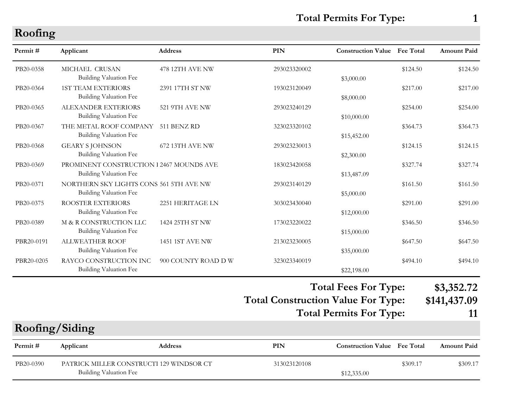### **Total Permits For Type: 1**

#### **Roofing**

| Permit#        | Applicant                                                                 | <b>Address</b>      | <b>PIN</b>                                | <b>Construction Value</b> Fee Total |          | <b>Amount Paid</b> |
|----------------|---------------------------------------------------------------------------|---------------------|-------------------------------------------|-------------------------------------|----------|--------------------|
| PB20-0358      | MICHAEL CRUSAN<br><b>Building Valuation Fee</b>                           | 478 12TH AVE NW     | 293023320002                              | \$3,000.00                          | \$124.50 | \$124.50           |
| PB20-0364      | <b>1ST TEAM EXTERIORS</b><br><b>Building Valuation Fee</b>                | 2391 17TH ST NW     | 193023120049                              | \$8,000.00                          | \$217.00 | \$217.00           |
| PB20-0365      | ALEXANDER EXTERIORS<br><b>Building Valuation Fee</b>                      | 521 9TH AVE NW      | 293023240129                              | \$10,000.00                         | \$254.00 | \$254.00           |
| PB20-0367      | THE METAL ROOF COMPANY<br><b>Building Valuation Fee</b>                   | 511 BENZ RD         | 323023320102                              | \$15,452.00                         | \$364.73 | \$364.73           |
| PB20-0368      | <b>GEARY S JOHNSON</b><br><b>Building Valuation Fee</b>                   | 672 13TH AVE NW     | 293023230013                              | \$2,300.00                          | \$124.15 | \$124.15           |
| PB20-0369      | PROMINENT CONSTRUCTION 1 2467 MOUNDS AVE<br><b>Building Valuation Fee</b> |                     | 183023420058                              | \$13,487.09                         | \$327.74 | \$327.74           |
| PB20-0371      | NORTHERN SKY LIGHTS CONS 561 5TH AVE NW<br><b>Building Valuation Fee</b>  |                     | 293023140129                              | \$5,000.00                          | \$161.50 | \$161.50           |
| PB20-0375      | ROOSTER EXTERIORS<br><b>Building Valuation Fee</b>                        | 2251 HERITAGE LN    | 303023430040                              | \$12,000.00                         | \$291.00 | \$291.00           |
| PB20-0389      | M & R CONSTRUCTION LLC<br><b>Building Valuation Fee</b>                   | 1424 25TH ST NW     | 173023220022                              | \$15,000.00                         | \$346.50 | \$346.50           |
| PBR20-0191     | <b>ALLWEATHER ROOF</b><br><b>Building Valuation Fee</b>                   | 1451 1ST AVE NW     | 213023230005                              | \$35,000.00                         | \$647.50 | \$647.50           |
| PBR20-0205     | RAYCO CONSTRUCTION INC<br><b>Building Valuation Fee</b>                   | 900 COUNTY ROAD D W | 323023340019                              | \$22,198.00                         | \$494.10 | \$494.10           |
|                |                                                                           |                     |                                           | <b>Total Fees For Type:</b>         |          | \$3,352.72         |
|                |                                                                           |                     | <b>Total Construction Value For Type:</b> |                                     |          | \$141,437.09       |
|                |                                                                           |                     |                                           | <b>Total Permits For Type:</b>      |          | 11                 |
| Roofing/Siding |                                                                           |                     |                                           |                                     |          |                    |
| Permit#        | Applicant                                                                 | <b>Address</b>      | PIN                                       | <b>Construction Value</b> Fee Total |          | Amount Paid        |
| PB20-0390      | PATRICK MILLER CONSTRUCTI 129 WINDSOR CT<br><b>Building Valuation Fee</b> |                     | 313023120108                              | \$12,335.00                         | \$309.17 | \$309.17           |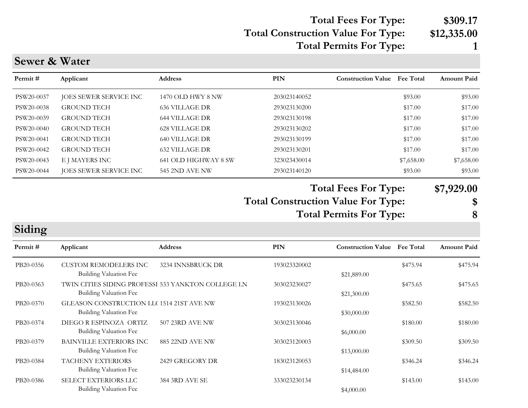# **Total Fees For Type: \$309.17**

#### **Total Construction Value For Type: \$12,335.00 Total Permits For Type: 1**

#### **Sewer & Water**

| Permit #   | Applicant              | <b>Address</b>        | <b>PIN</b>   | <b>Construction Value</b> Fee Total | <b>Amount Paid</b> |
|------------|------------------------|-----------------------|--------------|-------------------------------------|--------------------|
| PSW20-0037 | JOES SEWER SERVICE INC | 1470 OLD HWY 8 NW     | 203023140052 | \$93.00                             | \$93.00            |
| PSW20-0038 | <b>GROUND TECH</b>     | 636 VILLAGE DR        | 293023130200 | \$17.00                             | \$17.00            |
| PSW20-0039 | <b>GROUND TECH</b>     | 644 VILLAGE DR        | 293023130198 | \$17.00                             | \$17.00            |
| PSW20-0040 | <b>GROUND TECH</b>     | 628 VILLAGE DR        | 293023130202 | \$17.00                             | \$17.00            |
| PSW20-0041 | <b>GROUND TECH</b>     | 640 VILLAGE DR        | 293023130199 | \$17.00                             | \$17.00            |
| PSW20-0042 | <b>GROUND TECH</b>     | 632 VILLAGE DR        | 293023130201 | \$17.00                             | \$17.00            |
| PSW20-0043 | E J MAYERS INC         | 641 OLD HIGHWAY 8 SW  | 323023430014 | \$7,658.00                          | \$7,658.00         |
| PSW20-0044 | JOES SEWER SERVICE INC | <b>545 2ND AVE NW</b> | 293023140120 | \$93.00                             | \$93.00            |

**Total Construction Value For Type: \$ Total Fees For Type: \$7,929.00 Total Permits For Type: 8**

**Siding**

| Permit#   | Applicant                                                                    | <b>Address</b>        | PIN          | <b>Construction Value</b> | <b>Fee Total</b> | <b>Amount Paid</b> |
|-----------|------------------------------------------------------------------------------|-----------------------|--------------|---------------------------|------------------|--------------------|
| PB20-0356 | <b>CUSTOM REMODELERS INC</b><br>Building Valuation Fee                       | 3234 INNSBRUCK DR     | 193023320002 | \$21,889.00               | \$475.94         | \$475.94           |
| PB20-0363 | TWIN CITIES SIDING PROFESSI 533 YANKTON COLLEGE LN<br>Building Valuation Fee |                       | 303023230027 | \$21,300.00               | \$475.65         | \$475.65           |
| PB20-0370 | GLEASON CONSTRUCTION LLC 1514 21ST AVE NW<br>Building Valuation Fee          |                       | 193023130026 | \$30,000.00               | \$582.50         | \$582.50           |
| PB20-0374 | DIEGO R ESPINOZA ORTIZ<br>Building Valuation Fee                             | 507 23RD AVE NW       | 303023130046 | \$6,000.00                | \$180.00         | \$180.00           |
| PB20-0379 | <b>BAINVILLE EXTERIORS INC</b><br>Building Valuation Fee                     | 885 22ND AVE NW       | 303023120003 | \$13,000.00               | \$309.50         | \$309.50           |
| PB20-0384 | <b>TACHENY EXTERIORS</b><br>Building Valuation Fee                           | 2429 GREGORY DR       | 183023120053 | \$14,484.00               | \$346.24         | \$346.24           |
| PB20-0386 | <b>SELECT EXTERIORS LLC</b><br>Building Valuation Fee                        | <b>384 3RD AVE SE</b> | 333023230134 | \$4,000.00                | \$143.00         | \$143.00           |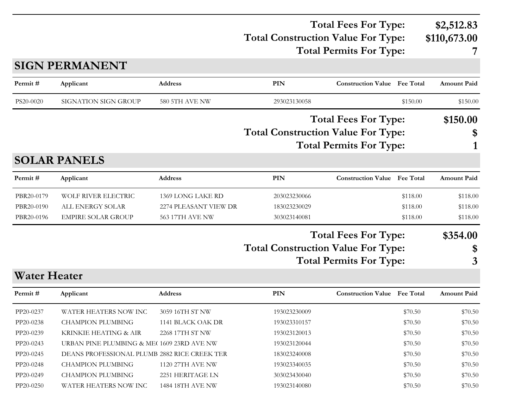#### **Total Construction Value For Type: \$110,673.00 Total Fees For Type: \$2,512.83 Total Permits For Type: 7**

#### **SIGN PERMANENT**

| Permit#             | Applicant                 | <b>Address</b>         | PIN                                       | <b>Construction Value</b> Fee Total |                  | <b>Amount Paid</b> |
|---------------------|---------------------------|------------------------|-------------------------------------------|-------------------------------------|------------------|--------------------|
| PS20-0020           | SIGNATION SIGN GROUP      | 580 5TH AVE NW         | 293023130058                              |                                     | \$150.00         | \$150.00           |
|                     |                           |                        |                                           | <b>Total Fees For Type:</b>         |                  | \$150.00           |
|                     |                           |                        | <b>Total Construction Value For Type:</b> |                                     |                  | \$                 |
|                     |                           |                        |                                           | <b>Total Permits For Type:</b>      |                  |                    |
|                     | <b>SOLAR PANELS</b>       |                        |                                           |                                     |                  |                    |
| Permit#             | Applicant                 | <b>Address</b>         | PIN                                       | <b>Construction Value</b>           | <b>Fee Total</b> | <b>Amount Paid</b> |
| PBR20-0179          | WOLF RIVER ELECTRIC       | 1369 LONG LAKE RD      | 203023230066                              |                                     | \$118.00         | \$118.00           |
| PBR20-0190          | ALL ENERGY SOLAR          | 2274 PLEASANT VIEW DR  | 183023230029                              |                                     | \$118.00         | \$118.00           |
| PBR20-0196          | <b>EMPIRE SOLAR GROUP</b> | <b>563 17TH AVE NW</b> | 303023140081                              |                                     | \$118.00         | \$118.00           |
|                     |                           |                        |                                           | <b>Total Fees For Type:</b>         |                  | \$354.00           |
|                     |                           |                        | <b>Total Construction Value For Type:</b> |                                     |                  | \$                 |
|                     |                           |                        |                                           | <b>Total Permits For Type:</b>      |                  | 3                  |
| <b>Water Heater</b> |                           |                        |                                           |                                     |                  |                    |
| Permit#             | Applicant                 | <b>Address</b>         | PIN                                       | <b>Construction Value</b> Fee Total |                  | <b>Amount Paid</b> |

| $1$ change $\pi$ | Typhcant                                     | 71441655                | <b>LIIV</b>  | Construction value that Total |         | THINGHIL I AIU |
|------------------|----------------------------------------------|-------------------------|--------------|-------------------------------|---------|----------------|
| PP20-0237        | WATER HEATERS NOW INC                        | 3059 16TH ST NW         | 193023230009 |                               | \$70.50 | \$70.50        |
| PP20-0238        | CHAMPION PLUMBING                            | 1141 BLACK OAK DR       | 193023310157 |                               | \$70.50 | \$70.50        |
| PP20-0239        | KRINKIE HEATING & AIR                        | 2268 17TH ST NW         | 193023120013 |                               | \$70.50 | \$70.50        |
| PP20-0243        | URBAN PINE PLUMBING & ME(1609 23RD AVE NW    |                         | 193023120044 |                               | \$70.50 | \$70.50        |
| PP20-0245        | DEANS PROFESSIONAL PLUMB 2882 RICE CREEK TER |                         | 183023240008 |                               | \$70.50 | \$70.50        |
| PP20-0248        | CHAMPION PLUMBING                            | 1120 27TH AVE NW        | 193023340035 |                               | \$70.50 | \$70.50        |
| PP20-0249        | <b>CHAMPION PLUMBING</b>                     | 2251 HERITAGE LN        | 303023430040 |                               | \$70.50 | \$70.50        |
| PP20-0250        | WATER HEATERS NOW INC                        | <b>1484 18TH AVE NW</b> | 193023140080 |                               | \$70.50 | \$70.50        |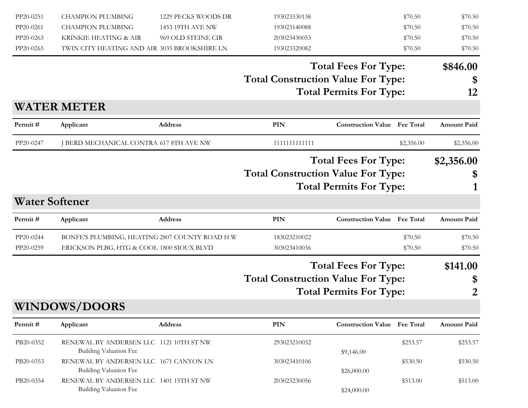| PP20-0251 | <b>CHAMPION PLUMBING</b>                                          | 1229 PECKS WOODS DR | 193023330138                              |                                     | \$70.50    | \$70.50            |
|-----------|-------------------------------------------------------------------|---------------------|-------------------------------------------|-------------------------------------|------------|--------------------|
| PP20-0261 | <b>CHAMPION PLUMBING</b>                                          | 1453 19TH AVE NW    | 193023140088                              |                                     | \$70.50    | \$70.50            |
| PP20-0263 | KRINKIE HEATING & AIR                                             | 969 OLD STEINE CIR  | 203023430053                              |                                     | \$70.50    | \$70.50            |
| PP20-0265 | TWIN CITY HEATING AND AIR 3035 BROOKSHIRE LN                      |                     | 193023320082                              |                                     | \$70.50    | \$70.50            |
|           |                                                                   |                     |                                           | <b>Total Fees For Type:</b>         |            | \$846.00           |
|           |                                                                   |                     | <b>Total Construction Value For Type:</b> |                                     |            | \$                 |
|           |                                                                   |                     |                                           | <b>Total Permits For Type:</b>      |            | 12                 |
|           | <b>WATER METER</b>                                                |                     |                                           |                                     |            |                    |
| Permit#   | Applicant                                                         | Address             | <b>PIN</b>                                | <b>Construction Value Fee Total</b> |            | <b>Amount Paid</b> |
| PP20-0247 | J BERD MECHANICAL CONTRA 617 8TH AVE NW                           |                     | 1111111111111                             |                                     | \$2,356.00 | \$2,356.00         |
|           |                                                                   |                     |                                           | <b>Total Fees For Type:</b>         |            | \$2,356.00         |
|           |                                                                   |                     | <b>Total Construction Value For Type:</b> |                                     |            | \$                 |
|           |                                                                   |                     |                                           | <b>Total Permits For Type:</b>      |            |                    |
|           | <b>Water Softener</b>                                             |                     |                                           |                                     |            |                    |
| Permit#   | Applicant                                                         | Address             | PIN                                       | <b>Construction Value</b> Fee Total |            | <b>Amount Paid</b> |
| PP20-0244 | BONFE'S PLUMBING, HEATING 2807 COUNTY ROAD HW                     |                     | 183023210022                              |                                     | \$70.50    | \$70.50            |
| PP20-0259 | ERICKSON PLBG, HTG & COOL 1800 SIOUX BLVD                         |                     | 303023410036                              |                                     | \$70.50    | \$70.50            |
|           |                                                                   |                     |                                           | <b>Total Fees For Type:</b>         |            | \$141.00           |
|           |                                                                   |                     | <b>Total Construction Value For Type:</b> |                                     |            | \$                 |
|           |                                                                   |                     |                                           | <b>Total Permits For Type:</b>      |            | 2                  |
|           | <b>WINDOWS/DOORS</b>                                              |                     |                                           |                                     |            |                    |
| Permit#   | Applicant                                                         | Address             | PIN                                       | <b>Construction Value Fee Total</b> |            | <b>Amount Paid</b> |
| PB20-0352 | RENEWAL BY ANDERSEN LLC 1121 10TH ST NW<br>Building Valuation Fee |                     | 293023210032                              |                                     | \$253.57   | \$253.57           |
| PB20-0353 | RENEWAL BY ANDERSEN LLC 1671 CANYON LN                            |                     | 303023410106                              | \$9,146.00                          | \$530.50   | \$530.50           |
| PB20-0354 | Building Valuation Fee<br>RENEWAL BY ANDERSEN LLC 1401 15TH ST NW |                     | 203023230056                              | \$26,000.00                         | \$513.00   | \$513.00           |
|           | Building Valuation Fee                                            |                     |                                           | \$24,000.00                         |            |                    |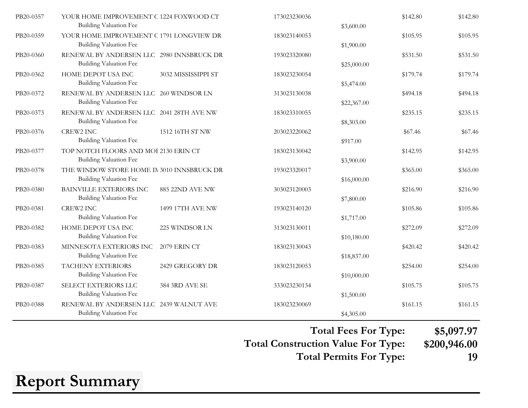| PB20-0357 | YOUR HOME IMPROVEMENT C 1224 FOXWOOD CT<br><b>Building Valuation Fee</b>    |                     | 173023230036 | \$3,600.00  | \$142.80 | \$142.80 |
|-----------|-----------------------------------------------------------------------------|---------------------|--------------|-------------|----------|----------|
| PB20-0359 | YOUR HOME IMPROVEMENT C 1791 LONGVIEW DR<br><b>Building Valuation Fee</b>   |                     | 183023140053 | \$1,900.00  | \$105.95 | \$105.95 |
| PB20-0360 | RENEWAL BY ANDERSEN LLC 2980 INNSBRUCK DR<br><b>Building Valuation Fee</b>  |                     | 193023320080 | \$25,000.00 | \$531.50 | \$531.50 |
| PB20-0362 | HOME DEPOT USA INC<br><b>Building Valuation Fee</b>                         | 3032 MISSISSIPPI ST | 183023230054 | \$5,474.00  | \$179.74 | \$179.74 |
| PB20-0372 | RENEWAL BY ANDERSEN LLC 260 WINDSOR LN<br><b>Building Valuation Fee</b>     |                     | 313023130038 | \$22,367.00 | \$494.18 | \$494.18 |
| PB20-0373 | RENEWAL BY ANDERSEN LLC 2041 28TH AVE NW<br><b>Building Valuation Fee</b>   |                     | 183023310055 | \$8,303.00  | \$235.15 | \$235.15 |
| PB20-0376 | CREW2 INC<br><b>Building Valuation Fee</b>                                  | 1512 16TH ST NW     | 203023220062 | \$917.00    | \$67.46  | \$67.46  |
| PB20-0377 | TOP NOTCH FLOORS AND MOI 2130 ERIN CT<br><b>Building Valuation Fee</b>      |                     | 183023130042 | \$3,900.00  | \$142.95 | \$142.95 |
| PB20-0378 | THE WINDOW STORE HOME IN 3010 INNSBRUCK DR<br><b>Building Valuation Fee</b> |                     | 193023320017 | \$16,000.00 | \$365.00 | \$365.00 |
| PB20-0380 | <b>BAINVILLE EXTERIORS INC</b><br><b>Building Valuation Fee</b>             | 885 22ND AVE NW     | 303023120003 | \$7,800.00  | \$216.90 | \$216.90 |
| PB20-0381 | <b>CREW2 INC</b><br><b>Building Valuation Fee</b>                           | 1499 17TH AVE NW    | 193023140120 | \$1,717.00  | \$105.86 | \$105.86 |
| PB20-0382 | HOME DEPOT USA INC<br><b>Building Valuation Fee</b>                         | 225 WINDSOR LN      | 313023130011 | \$10,180.00 | \$272.09 | \$272.09 |
| PB20-0383 | MINNESOTA EXTERIORS INC<br><b>Building Valuation Fee</b>                    | <b>2079 ERIN CT</b> | 183023130043 | \$18,837.00 | \$420.42 | \$420.42 |
| PB20-0385 | <b>TACHENY EXTERIORS</b><br><b>Building Valuation Fee</b>                   | 2429 GREGORY DR     | 183023120053 | \$10,000.00 | \$254.00 | \$254.00 |
| PB20-0387 | SELECT EXTERIORS LLC<br><b>Building Valuation Fee</b>                       | 384 3RD AVE SE      | 333023230134 | \$1,500.00  | \$105.75 | \$105.75 |
| PB20-0388 | RENEWAL BY ANDERSEN LLC 2439 WALNUT AVE<br><b>Building Valuation Fee</b>    |                     | 183023230069 | \$4,305.00  | \$161.15 | \$161.15 |

**Total Construction Value For Type: \$200,946.00 Total Fees For Type: \$5,097.97**

**Total Permits For Type: 19**

## **Report Summary**